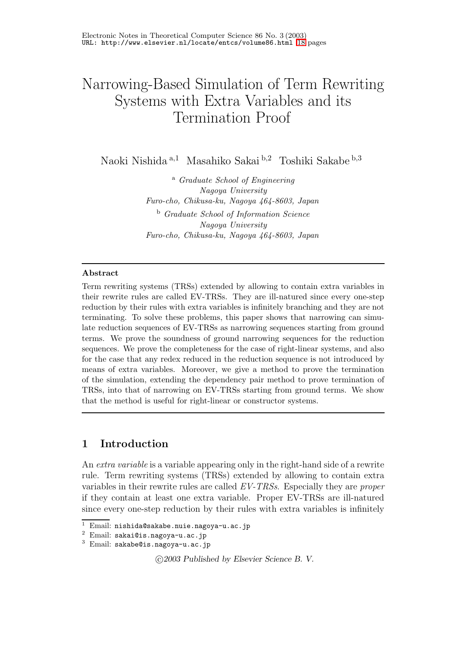# Narrowing-Based Simulation of Term Rewriting Systems with Extra Variables and its Termination Proof

Naoki Nishida <sup>a</sup>,<sup>1</sup> Masahiko Sakai <sup>b</sup>,<sup>2</sup> Toshiki Sakabe b,3

<sup>a</sup> Graduate School of Engineering Nagoya University Furo-cho, Chikusa-ku, Nagoya 464-8603, Japan <sup>b</sup> Graduate School of Information Science Nagoya University Furo-cho, Chikusa-ku, Nagoya 464-8603, Japan

#### Abstract

Term rewriting systems (TRSs) extended by allowing to contain extra variables in their rewrite rules are called EV-TRSs. They are ill-natured since every one-step reduction by their rules with extra variables is infinitely branching and they are not terminating. To solve these problems, this paper shows that narrowing can simulate reduction sequences of EV-TRSs as narrowing sequences starting from ground terms. We prove the soundness of ground narrowing sequences for the reduction sequences. We prove the completeness for the case of right-linear systems, and also for the case that any redex reduced in the reduction sequence is not introduced by means of extra variables. Moreover, we give a method to prove the termination of the simulation, extending the dependency pair method to prove termination of TRSs, into that of narrowing on EV-TRSs starting from ground terms. We show that the method is useful for right-linear or constructor systems.

## 1 Introduction

An extra variable is a variable appearing only in the right-hand side of a rewrite rule. Term rewriting systems (TRSs) extended by allowing to contain extra variables in their rewrite rules are called EV-TRSs. Especially they are proper if they contain at least one extra variable. Proper EV-TRSs are ill-natured since every one-step reduction by their rules with extra variables is infinitely

c 2003 Published by Elsevier Science B. V.

<sup>1</sup> Email: nishida@sakabe.nuie.nagoya-u.ac.jp

<sup>2</sup> Email: sakai@is.nagoya-u.ac.jp

<sup>3</sup> Email: sakabe@is.nagoya-u.ac.jp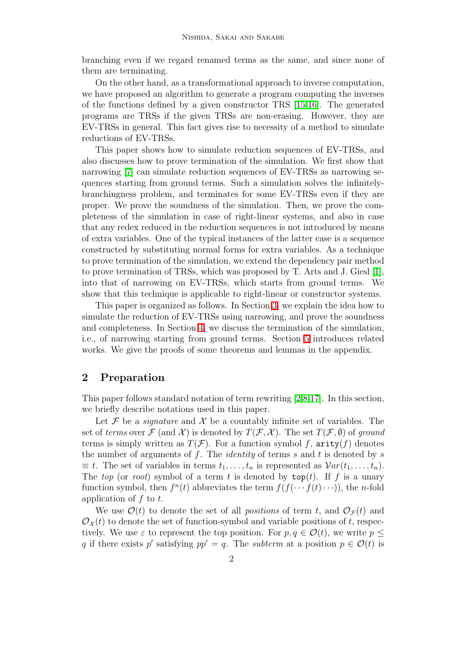branching even if we regard renamed terms as the same, and since none of them are terminating.

On the other hand, as a transformational approach to inverse computation, we have proposed an algorithm to generate a program computing the inverses of the functions defined by a given constructor TRS [\[15](#page-13-0)[,16\]](#page-13-1). The generated programs are TRSs if the given TRSs are non-erasing. However, they are EV-TRSs in general. This fact gives rise to necessity of a method to simulate reductions of EV-TRSs.

This paper shows how to simulate reduction sequences of EV-TRSs, and also discusses how to prove termination of the simulation. We first show that narrowing [\[7\]](#page-12-0) can simulate reduction sequences of EV-TRSs as narrowing sequences starting from ground terms. Such a simulation solves the infinitelybranchingness problem, and terminates for some EV-TRSs even if they are proper. We prove the soundness of the simulation. Then, we prove the completeness of the simulation in case of right-linear systems, and also in case that any redex reduced in the reduction sequences is not introduced by means of extra variables. One of the typical instances of the latter case is a sequence constructed by substituting normal forms for extra variables. As a technique to prove termination of the simulation, we extend the dependency pair method to prove termination of TRSs, which was proposed by T. Arts and J. Giesl [\[1\]](#page-12-1), into that of narrowing on EV-TRSs, which starts from ground terms. We show that this technique is applicable to right-linear or constructor systems.

This paper is organized as follows. In Section [3,](#page-3-0) we explain the idea how to simulate the reduction of EV-TRSs using narrowing, and prove the soundness and completeness. In Section [4,](#page-5-0) we discuss the termination of the simulation, i.e., of narrowing starting from ground terms. Section [5](#page-11-0) introduces related works. We give the proofs of some theorems and lemmas in the appendix.

## 2 Preparation

This paper follows standard notation of term rewriting [\[2,](#page-12-2)[8](#page-12-3)[,17\]](#page-13-2). In this section, we briefly describe notations used in this paper.

Let F be a *signature* and X be a countably infinite set of variables. The set of terms over  $\mathcal F$  (and  $\mathcal X$ ) is denoted by  $T(\mathcal F,\mathcal X)$ . The set  $T(\mathcal F,\emptyset)$  of ground terms is simply written as  $T(\mathcal{F})$ . For a function symbol f, arity(f) denotes the number of arguments of f. The *identity* of terms s and t is denoted by s  $\equiv t$ . The set of variables in terms  $t_1, \ldots, t_n$  is represented as  $Var(t_1, \ldots, t_n)$ . The top (or root) symbol of a term t is denoted by  $top(t)$ . If f is a unary function symbol, then  $f^{n}(t)$  abbreviates the term  $f(f(\cdots f(t)\cdots))$ , the *n*-fold application of  $f$  to  $t$ .

We use  $\mathcal{O}(t)$  to denote the set of all *positions* of term t, and  $\mathcal{O}_{\mathcal{F}}(t)$  and  $\mathcal{O}_{\mathcal{X}}(t)$  to denote the set of function-symbol and variable positions of t, respectively. We use  $\varepsilon$  to represent the top position. For  $p, q \in \mathcal{O}(t)$ , we write  $p \leq$ q if there exists p' satisfying  $pp' = q$ . The *subterm* at a position  $p \in \mathcal{O}(t)$  is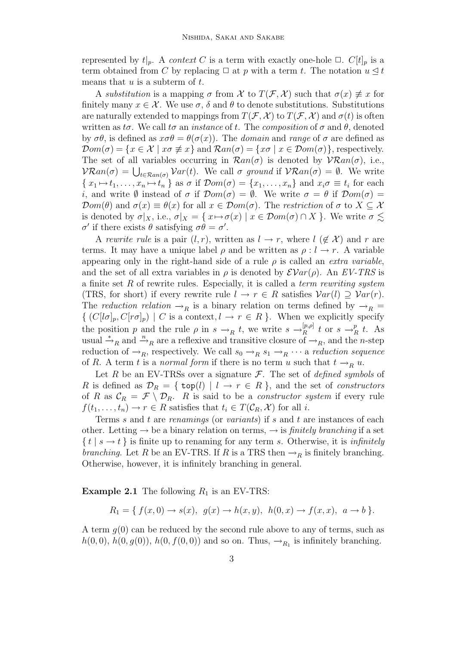represented by  $t|_p$ . A *context* C is a term with exactly one-hole  $\Box$ . C[t]<sub>p</sub> is a term obtained from C by replacing  $\Box$  at p with a term t. The notation  $u \leq t$ means that  $u$  is a subterm of  $t$ .

A substitution is a mapping  $\sigma$  from X to  $T(\mathcal{F}, \mathcal{X})$  such that  $\sigma(x) \neq x$  for finitely many  $x \in \mathcal{X}$ . We use  $\sigma$ ,  $\delta$  and  $\theta$  to denote substitutions. Substitutions are naturally extended to mappings from  $T(\mathcal{F}, \mathcal{X})$  to  $T(\mathcal{F}, \mathcal{X})$  and  $\sigma(t)$  is often written as  $t\sigma$ . We call  $t\sigma$  an *instance* of t. The *composition* of  $\sigma$  and  $\theta$ , denoted by  $\sigma\theta$ , is defined as  $x\sigma\theta = \theta(\sigma(x))$ . The *domain* and *range* of  $\sigma$  are defined as  $\mathcal{D}om(\sigma) = \{x \in \mathcal{X} \mid x\sigma \not\equiv x\}$  and  $\mathcal{R}an(\sigma) = \{x\sigma \mid x \in \mathcal{D}om(\sigma)\}\$ , respectively. The set of all variables occurring in  $\mathcal{R}an(\sigma)$  is denoted by  $\mathcal{V}\mathcal{R}an(\sigma)$ , i.e.,  $\mathcal{V}\mathcal{R}an(\sigma) = \bigcup_{t \in \mathcal{R}an(\sigma)} \mathcal{V}ar(t)$ . We call  $\sigma$  ground if  $\mathcal{V}\mathcal{R}an(\sigma) = \emptyset$ . We write  $\{x_1 \mapsto t_1, \ldots, x_n \mapsto t_n\}$  as  $\sigma$  if  $\mathcal{D}om(\sigma) = \{x_1, \ldots, x_n\}$  and  $x_i \sigma \equiv t_i$  for each i, and write  $\emptyset$  instead of  $\sigma$  if  $\mathcal{D}om(\sigma) = \emptyset$ . We write  $\sigma = \theta$  if  $\mathcal{D}om(\sigma) =$  $\mathcal{D}om(\theta)$  and  $\sigma(x) \equiv \theta(x)$  for all  $x \in \mathcal{D}om(\sigma)$ . The restriction of  $\sigma$  to  $X \subseteq \mathcal{X}$ is denoted by  $\sigma|_X$ , i.e.,  $\sigma|_X = \{x \mapsto \sigma(x) \mid x \in \mathcal{D}om(\sigma) \cap X\}$ . We write  $\sigma \lesssim$  $\sigma'$  if there exists  $\theta$  satisfying  $\sigma\theta = \sigma'$ .

A rewrite rule is a pair  $(l, r)$ , written as  $l \to r$ , where  $l \notin \mathcal{X}$  and r are terms. It may have a unique label  $\rho$  and be written as  $\rho: l \to r$ . A variable appearing only in the right-hand side of a rule  $\rho$  is called an *extra variable*, and the set of all extra variables in  $\rho$  is denoted by  $\mathcal{E}Var(\rho)$ . An  $EV\text{-}TRS$  is a finite set R of rewrite rules. Especially, it is called a *term rewriting system* (TRS, for short) if every rewrite rule  $l \to r \in R$  satisfies  $Var(l) \supseteq Var(r)$ . The reduction relation  $\rightarrow_R$  is a binary relation on terms defined by  $\rightarrow_R$  $\{ (C[l\sigma]_p, C[r\sigma]_p) \mid C \text{ is a context}, l \to r \in R \}.$  When we explicitly specify the position p and the rule  $\rho$  in  $s \to_R t$ , we write  $s \to_R^{[p,\rho]}$  $\frac{p,\rho]}{R}$  t or  $s \to_{R}^{p}$  $_R^p$  t. As usual  $\stackrel{*}{\rightarrow}_R$  and  $\stackrel{n}{\rightarrow}_R$  are a reflexive and transitive closure of  $\stackrel{n}{\rightarrow}_R$ , and the *n*-step reduction of  $\rightarrow_R$ , respectively. We call  $s_0 \rightarrow_R s_1 \rightarrow_R \cdots$  a reduction sequence of R. A term t is a normal form if there is no term u such that  $t \rightarrow_R u$ .

Let R be an EV-TRSs over a signature  $\mathcal{F}$ . The set of *defined symbols* of R is defined as  $\mathcal{D}_R = \{ \text{top}(l) \mid l \rightarrow r \in R \}$ , and the set of constructors of R as  $\mathcal{C}_R = \mathcal{F} \setminus \mathcal{D}_R$ . R is said to be a *constructor system* if every rule  $f(t_1,\ldots,t_n)\to r\in R$  satisfies that  $t_i\in T(\mathcal{C}_R,\mathcal{X})$  for all i.

Terms s and t are renamings (or variants) if s and t are instances of each other. Letting  $\rightarrow$  be a binary relation on terms,  $\rightarrow$  is *finitely branching* if a set  $\{ t | s \rightarrow t \}$  is finite up to renaming for any term s. Otherwise, it is *infinitely* branching. Let R be an EV-TRS. If R is a TRS then  $\rightarrow_R$  is finitely branching. Otherwise, however, it is infinitely branching in general.

<span id="page-2-0"></span>**Example 2.1** The following  $R_1$  is an EV-TRS:

$$
R_1 = \{ f(x,0) \to s(x), g(x) \to h(x,y), h(0,x) \to f(x,x), a \to b \}.
$$

A term  $g(0)$  can be reduced by the second rule above to any of terms, such as  $h(0,0)$ ,  $h(0, g(0))$ ,  $h(0, f(0, 0))$  and so on. Thus,  $\rightarrow_{R_1}$  is infinitely branching.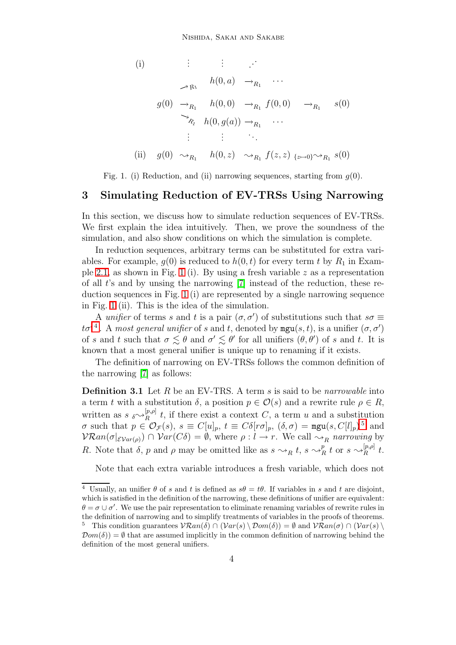(i)  
\n
$$
\vdots \qquad \vdots \qquad \vdots
$$
\n
$$
h(0, a) \rightarrow_{R_1} \cdots
$$
\n
$$
g(0) \rightarrow_{R_1} h(0, 0) \rightarrow_{R_1} f(0, 0) \rightarrow_{R_1} s(0)
$$
\n
$$
\rightarrow_{R_1} h(0, g(a)) \rightarrow_{R_1} \cdots
$$
\n
$$
\vdots \qquad \vdots \qquad \vdots
$$
\n(ii)  
\n
$$
g(0) \sim_{R_1} h(0, z) \sim_{R_1} f(z, z) \{z \mapsto 0\} \sim_{R_1} s(0)
$$

Fig. 1. (i) Reduction, and (ii) narrowing sequences, starting from  $q(0)$ .

## <span id="page-3-1"></span><span id="page-3-0"></span>3 Simulating Reduction of EV-TRSs Using Narrowing

In this section, we discuss how to simulate reduction sequences of EV-TRSs. We first explain the idea intuitively. Then, we prove the soundness of the simulation, and also show conditions on which the simulation is complete.

In reduction sequences, arbitrary terms can be substituted for extra variables. For example,  $g(0)$  is reduced to  $h(0,t)$  for every term t by  $R_1$  in Exam-ple [2.1,](#page-2-0) as shown in Fig. [1](#page-3-1) (i). By using a fresh variable  $z$  as a representation of all t's and by unsing the narrowing [\[7\]](#page-12-0) instead of the reduction, these reduction sequences in Fig. [1](#page-3-1) (i) are represented by a single narrowing sequence in Fig. [1](#page-3-1) (ii). This is the idea of the simulation.

A unifier of terms s and t is a pair  $(\sigma, \sigma')$  of substitutions such that  $s\sigma \equiv$  $t\sigma'{}^4$  $t\sigma'{}^4$ . A most general unifier of s and t, denoted by  $\mathtt{mgu}(s,t)$ , is a unifier  $(\sigma,\sigma')$ of s and t such that  $\sigma \lesssim \theta$  and  $\sigma' \lesssim \theta'$  for all unifiers  $(\theta, \theta')$  of s and t. It is known that a most general unifier is unique up to renaming if it exists.

The definition of narrowing on EV-TRSs follows the common definition of the narrowing [\[7\]](#page-12-0) as follows:

**Definition 3.1** Let R be an EV-TRS. A term s is said to be *narrowable* into a term t with a substitution  $\delta$ , a position  $p \in \mathcal{O}(s)$  and a rewrite rule  $\rho \in R$ , written as  $s \sim \mathbb{R}^{p,\rho}$  $R^{p,\rho}$  t, if there exist a context C, a term u and a substitution  $\sigma$  such that  $p \in \mathcal{O}_{\mathcal{F}}(s)$ ,  $s \equiv C[u]_p$ ,  $t \equiv C\delta[r\sigma]_p$ ,  $(\delta, \sigma) = \text{mgu}(s, C[l]_p)^5$  $(\delta, \sigma) = \text{mgu}(s, C[l]_p)^5$  and  $\mathcal{V}\mathcal{R}an(\sigma|_{\mathcal{E}Var(\rho)}) \cap \mathcal{V}ar(C\delta) = \emptyset$ , where  $\rho: l \to r$ . We call  $\leadsto_R$  narrowing by R. Note that  $\delta$ , p and  $\rho$  may be omitted like as  $s \sim_R t$ ,  $s \sim_P^p t$  $\frac{p}{R} t$  or  $s \leadsto_R^{[p,\rho]}$  $\frac{d}{R}^{p,\rho_{\parallel}}t.$ 

Note that each extra variable introduces a fresh variable, which does not

<span id="page-3-3"></span><span id="page-3-2"></span><sup>&</sup>lt;sup>4</sup> Usually, an unifier  $\theta$  of s and t is defined as  $s\theta = t\theta$ . If variables in s and t are disjoint, which is satisfied in the definition of the narrowing, these definitions of unifier are equivalent:  $\theta = \sigma \cup \sigma'$ . We use the pair representation to eliminate renaming variables of rewrite rules in the definition of narrowing and to simplify treatments of variables in the proofs of theorems. <sup>5</sup> This condition guarantees  $\mathcal{V}\mathcal{R}an(\delta) \cap (\mathcal{V}ar(s) \setminus \mathcal{D}om(\delta)) = \emptyset$  and  $\mathcal{V}\mathcal{R}an(\sigma) \cap (\mathcal{V}ar(s) \setminus \mathcal{D}om(\delta)) = \emptyset$  $\mathcal{D}om(\delta) = \emptyset$  that are assumed implicitly in the common definition of narrowing behind the definition of the most general unifiers.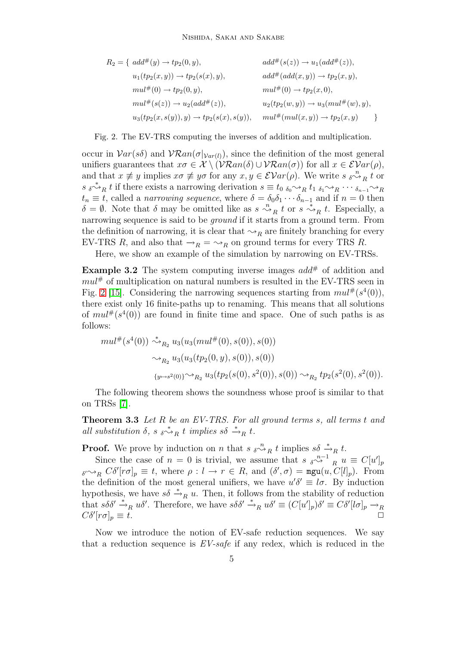$$
R_2 = \{ add^{\#}(y) \to tp_2(0, y), \qquad add^{\#}(s(z)) \to u_1(add^{\#}(z)),
$$
  
\n
$$
u_1(tp_2(x, y)) \to tp_2(s(x), y), \qquad add^{\#}(add(x, y)) \to tp_2(x, y),
$$
  
\n
$$
mul^{\#}(0) \to tp_2(0, y), \qquad mul^{\#}(0) \to tp_2(x, 0),
$$
  
\n
$$
mul^{\#}(s(z)) \to u_2(add^{\#}(z)), \qquad u_2(tp_2(w, y)) \to u_3(mul^{\#}(w), y),
$$
  
\n
$$
u_3(tp_2(x, s(y)), y) \to tp_2(s(x), s(y)), \qquad mul^{\#}(mul(x, y)) \to tp_2(x, y)
$$

Fig. 2. The EV-TRS computing the inverses of addition and multiplication.

<span id="page-4-0"></span>occur in  $Var(s\delta)$  and  $VARan(\sigma|_{Var(l)})$ , since the definition of the most general unifiers guarantees that  $x\sigma \in \mathcal{X} \setminus (\mathcal{V}\mathcal{R}an(\delta) \cup \mathcal{V}\mathcal{R}an(\sigma))$  for all  $x \in \mathcal{E}Var(\rho)$ , and that  $x \neq y$  implies  $x \sigma \neq y \sigma$  for any  $x, y \in \mathcal{E}Var(\rho)$ . We write  $s \circ \sigma_R^k t$  or  $s \rightarrow_{R} t$  if there exists a narrowing derivation  $s \equiv t_{0} \rightarrow_{R} t_{1} \rightarrow_{R} t_{2} \cdots \rightarrow_{R} t_{n-1} \rightarrow_{R} t_{n}$  $t_n \equiv t$ , called a *narrowing sequence*, where  $\delta = \delta_0 \delta_1 \cdots \delta_{n-1}$  and if  $n = 0$  then  $\delta = \emptyset$ . Note that  $\delta$  may be omitted like as  $s \stackrel{n}{\leadsto}_R t$  or  $s \stackrel{*}{\leadsto}_R t$ . Especially, a narrowing sequence is said to be *ground* if it starts from a ground term. From the definition of narrowing, it is clear that  $\sim_R$  are finitely branching for every EV-TRS R, and also that  $\rightarrow_R \rightarrow \rightarrow_R$  on ground terms for every TRS R.

Here, we show an example of the simulation by narrowing on EV-TRSs.

**Example 3.2** The system computing inverse images  $add^{\#}$  of addition and  $mul^{\#}$  of multiplication on natural numbers is resulted in the EV-TRS seen in Fig. [2](#page-4-0) [\[15\]](#page-13-0). Considering the narrowing sequences starting from  $mul^{\#}(s^4(0)),$ there exist only 16 finite-paths up to renaming. This means that all solutions of  $mult^*(s^4(0))$  are found in finite time and space. One of such paths is as follows:

$$
\begin{aligned}\n\text{mult}^{\#}(s^4(0)) &\stackrel{*}{\leadsto}_{R_2} u_3(u_3(\text{mult}^{\#}(0), s(0)), s(0)) \\
&\stackrel{\curvearrowright}{\leadsto}_{R_2} u_3(u_3(tp_2(0, y), s(0)), s(0)) \\
&\stackrel{\curvearrowleft}{\leadsto}_{R_2} u_3(tp_2(s(0), s^2(0)), s(0)) \leadsto_{R_2} tp_2(s^2(0), s^2(0)).\n\end{aligned}
$$

The following theorem shows the soundness whose proof is similar to that on TRSs [\[7\]](#page-12-0).

**Theorem 3.3** Let  $R$  be an EV-TRS. For all ground terms  $s$ , all terms  $t$  and all substitution  $\delta$ , s  $\delta \stackrel{*}{\leadsto}_R t$  implies  $s\delta \stackrel{*}{\leadsto}_R t$ .

**Proof.** We prove by induction on n that  $s \circ \gamma_R$  implies  $s \delta \overset{*}{\to}_R t$ .

Since the case of  $n = 0$  is trivial, we assume that  $s \sqrt{\sigma^2} \frac{n-1}{R} u \equiv C[u']_p$  $\delta^{N} \rightarrow_R C \delta^{N} [r \sigma]_p \equiv t$ , where  $\rho: l \rightarrow r \in R$ , and  $(\delta', \sigma) = \text{mgu}(u, C[l]_p)$ . From the definition of the most general unifiers, we have  $u'\delta' \equiv l\sigma$ . By induction hypothesis, we have  $s\delta \stackrel{*}{\rightarrow}_R u$ . Then, it follows from the stability of reduction that  $s\delta\delta' \stackrel{*}{\rightarrow}_R u\delta'$ . Therefore, we have  $s\delta\delta' \stackrel{*}{\rightarrow}_R u\delta' \equiv (C[u']_p)\delta' \equiv C\delta'[l\sigma]_p \rightarrow_R$  $C\delta'[r\sigma]_p \equiv t.$ 

Now we introduce the notion of EV-safe reduction sequences. We say that a reduction sequence is  $EV\text{-}safe$  if any redex, which is reduced in the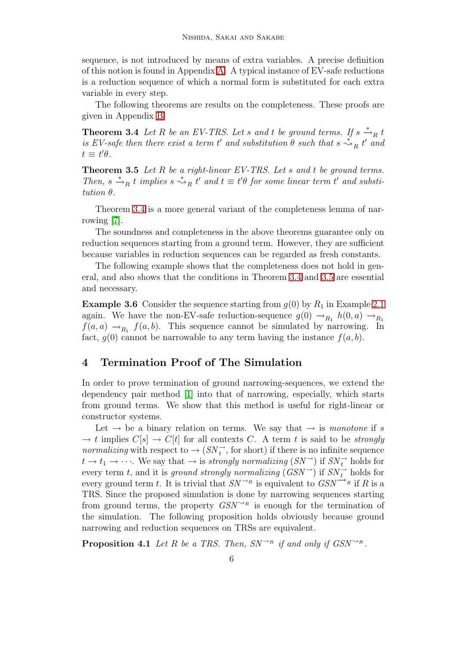sequence, is not introduced by means of extra variables. A precise definition of this notion is found in Appendix [A.](#page-13-3) A typical instance of EV-safe reductions is a reduction sequence of which a normal form is substituted for each extra variable in every step.

The following theorems are results on the completeness. These proofs are given in Appendix [B.](#page-14-0)

<span id="page-5-1"></span>**Theorem 3.4** Let R be an EV-TRS. Let s and t be ground terms. If  $s \stackrel{*}{\rightarrow}_R t$ is EV-safe then there exist a term t' and substitution  $\theta$  such that  $s \stackrel{*}{\leadsto}_R t'$  and  $t \equiv t'\theta.$ 

<span id="page-5-2"></span>**Theorem 3.5** Let R be a right-linear EV-TRS. Let s and t be ground terms. Then,  $s \stackrel{*}{\rightarrow}_R t$  implies  $s \stackrel{*}{\rightarrow}_R t'$  and  $t \equiv t'\theta$  for some linear term t' and substitution θ.

Theorem [3.4](#page-5-1) is a more general variant of the completeness lemma of narrowing [\[7\]](#page-12-0).

The soundness and completeness in the above theorems guarantee only on reduction sequences starting from a ground term. However, they are sufficient because variables in reduction sequences can be regarded as fresh constants.

The following example shows that the completeness does not hold in general, and also shows that the conditions in Theorem [3.4](#page-5-1) and [3.5](#page-5-2) are essential and necessary.

**Example 3.6** Consider the sequence starting from  $g(0)$  by  $R_1$  in Example [2.1](#page-2-0) again. We have the non-EV-safe reduction-sequence  $g(0) \rightarrow_{R_1} h(0, a) \rightarrow_{R_1} h(0, a)$  $f(a, a) \rightarrow_{R_1} f(a, b)$ . This sequence cannot be simulated by narrowing. In fact,  $g(0)$  cannot be narrowable to any term having the instance  $f(a, b)$ .

## <span id="page-5-0"></span>4 Termination Proof of The Simulation

In order to prove termination of ground narrowing-sequences, we extend the dependency pair method [\[1\]](#page-12-1) into that of narrowing, especially, which starts from ground terms. We show that this method is useful for right-linear or constructor systems.

Let  $\rightarrow$  be a binary relation on terms. We say that  $\rightarrow$  is monotone if s  $\rightarrow t$  implies  $C[s] \rightarrow C[t]$  for all contexts C. A term t is said to be strongly *normalizing* with respect to  $\rightarrow (SN_t^{\rightarrow})$ , for short) if there is no infinite sequence  $t \to t_1 \to \cdots$ . We say that  $\to$  is *strongly normalizing*  $(SN^{\rightarrow})$  if  $SN_{t}^{\rightarrow}$  holds for every term t, and it is *ground strongly normalizing*  $(GSN^{\rightarrow})$  if  $SN^{\rightarrow}_t$  holds for every ground term t. It is trivial that  $SN^{\rightarrow R}$  is equivalent to  $GSN^{\rightarrow R}$  if R is a TRS. Since the proposed simulation is done by narrowing sequences starting from ground terms, the property  $GSN^{\leadsto R}$  is enough for the termination of the simulation. The following proposition holds obviously because ground narrowing and reduction sequences on TRSs are equivalent.

**Proposition 4.1** Let R be a TRS. Then,  $SN^{\rightharpoonup_R}$  if and only if  $GSN^{\rightharpoonup_R}$ .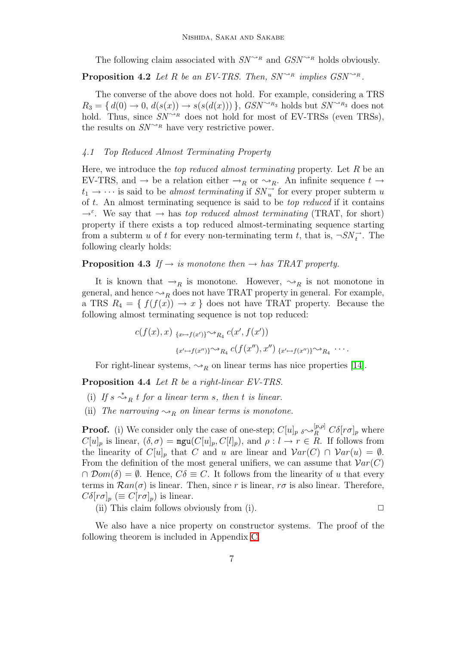The following claim associated with  $SN^{\rightarrow_R}$  and  $GSN^{\rightarrow_R}$  holds obviously.

**Proposition 4.2** Let R be an EV-TRS. Then,  $SN^{\sim_R}$  implies  $GSN^{\sim_R}$ .

The converse of the above does not hold. For example, considering a TRS  $R_3 = \{ d(0) \rightarrow 0, d(s(x)) \rightarrow s(s(d(x))) \}$ ,  $GSN^{\sim R_3}$  holds but  $SN^{\sim R_3}$  does not hold. Thus, since  $SN^{\sim_R}$  does not hold for most of EV-TRSs (even TRSs), the results on  $SN^{\leadsto_R}$  have very restrictive power.

#### 4.1 Top Reduced Almost Terminating Property

Here, we introduce the *top reduced almost terminating* property. Let  $R$  be an EV-TRS, and  $\rightarrow$  be a relation either  $\rightarrow_R$  or  $\rightarrow_R$ . An infinite sequence  $t \rightarrow$  $t_1 \rightarrow \cdots$  is said to be *almost terminating* if  $SN_u^{\rightarrow}$  for every proper subterm u of t. An almost terminating sequence is said to be *top reduced* if it contains  $\rightarrow^{\varepsilon}$ . We say that  $\rightarrow$  has top reduced almost terminating (TRAT, for short) property if there exists a top reduced almost-terminating sequence starting from a subterm u of t for every non-terminating term t, that is,  $\neg SN_t^{\rightarrow}$ . The following clearly holds:

#### **Proposition 4.3** If  $\rightarrow$  is monotone then  $\rightarrow$  has TRAT property.

It is known that  $\rightarrow_R$  is monotone. However,  $\rightarrow_R$  is not monotone in general, and hence  $\leadsto_R$  does not have TRAT property in general. For example, a TRS  $R_4 = \{ f(f(x)) \rightarrow x \}$  does not have TRAT property. Because the following almost terminating sequence is not top reduced:

$$
c(f(x),x) \xrightarrow{\{x\mapsto f(x')\}\sim R_4} c(x',f(x'))
$$

$$
\xrightarrow{\{x'\mapsto f(x'')\}\sim R_4} c(f(x''),x'') \xrightarrow{\{x'\mapsto f(x'')\}\sim R_4} \cdots
$$

For right-linear systems,  $\rightsquigarrow_R$  on linear terms has nice properties [\[14\]](#page-12-4).

<span id="page-6-0"></span>Proposition 4.4 Let R be a right-linear EV-TRS.

- (i) If  $s \stackrel{*}{\leadsto}_R t$  for a linear term s, then t is linear.
- (ii) The narrowing  $\rightsquigarrow_R$  on linear terms is monotone.

**Proof.** (i) We consider only the case of one-step;  $C[u]_p \circ \sim_R^{[p,\rho]} C\delta[r\sigma]_p$  where  $C[u]_p$  is linear,  $(\delta, \sigma) = \text{mgu}(C[u]_p, C[l]_p)$ , and  $\rho: l \to r \in R$ . If follows from the linearity of  $C[u]_p$  that C and u are linear and  $Var(C) \cap Var(u) = \emptyset$ . From the definition of the most general unifiers, we can assume that  $Var(C)$  $\cap \text{Dom}(\delta) = \emptyset$ . Hence,  $C\delta \equiv C$ . It follows from the linearity of u that every terms in  $\mathcal{R}an(\sigma)$  is linear. Then, since r is linear,  $r\sigma$  is also linear. Therefore,  $C\delta[r\sigma]_p \ (\equiv C[r\sigma]_p)$  is linear.

(ii) This claim follows obviously from (i).  $\Box$ 

<span id="page-6-1"></span>We also have a nice property on constructor systems. The proof of the following theorem is included in Appendix [C.](#page-15-0)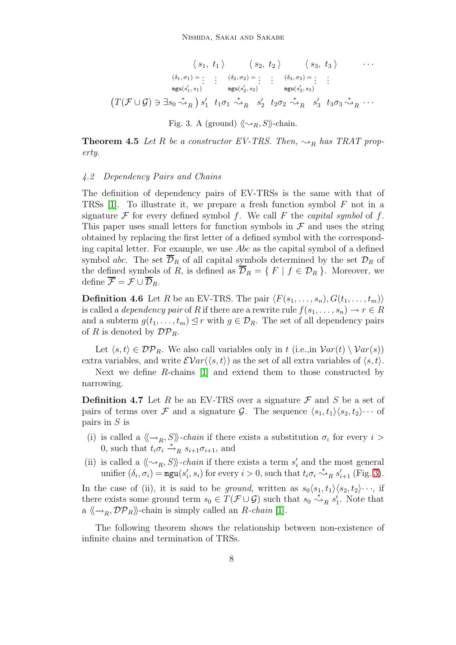$$
\langle s_1, t_1 \rangle \qquad \langle s_2, t_2 \rangle \qquad \langle s_3, t_3 \rangle \qquad \cdots
$$

$$
\frac{(\delta_1, \sigma_1) = \vdots \qquad \vdots \qquad (\delta_2, \sigma_2) = \vdots \qquad \vdots \qquad (\delta_3, \sigma_3) = \vdots \qquad \vdots \qquad \text{mgu}(s'_1, s_1) \qquad \text{mgu}(s'_2, s_2) \qquad \text{mgu}(s'_3, s_3)}
$$

$$
\left( T(\mathcal{F} \cup \mathcal{G}) \ni \exists s_0 \stackrel{*}{\leadsto}_R \right) s'_1 \quad t_1 \sigma_1 \stackrel{*}{\leadsto}_R s'_2 \quad t_2 \sigma_2 \stackrel{*}{\leadsto}_R s'_3 \quad t_3 \sigma_3 \stackrel{*}{\leadsto}_R \cdots
$$

$$
\text{Fig. 3. A (ground) } \langle \langle \sim_R, S \rangle \rangle \text{-chain.}
$$

<span id="page-7-0"></span>**Theorem 4.5** Let R be a constructor EV-TRS. Then,  $\rightsquigarrow_R$  has TRAT property.

#### 4.2 Dependency Pairs and Chains

The definition of dependency pairs of EV-TRSs is the same with that of TRSs [\[1\]](#page-12-1). To illustrate it, we prepare a fresh function symbol  $F$  not in a signature  $\mathcal F$  for every defined symbol f. We call F the capital symbol of f. This paper uses small letters for function symbols in  $\mathcal F$  and uses the string obtained by replacing the first letter of a defined symbol with the corresponding capital letter. For example, we use Abc as the capital symbol of a defined symbol abc. The set  $\overline{\mathcal{D}}_R$  of all capital symbols determined by the set  $\mathcal{D}_R$  of the defined symbols of R, is defined as  $\overline{\mathcal{D}}_R = \{ F | f \in \mathcal{D}_R \}$ . Moreover, we define  $\overline{\mathcal{F}} = \mathcal{F} \cup \overline{\mathcal{D}}_R$ .

**Definition 4.6** Let R be an EV-TRS. The pair  $\langle F(s_1, \ldots, s_n), G(t_1, \ldots, t_m)\rangle$ is called a *dependency pair* of R if there are a rewrite rule  $f(s_1, \ldots, s_n) \to r \in R$ and a subterm  $g(t_1, \ldots, t_m) \leq r$  with  $g \in \mathcal{D}_R$ . The set of all dependency pairs of R is denoted by  $\mathcal{DP}_R$ .

Let  $\langle s,t \rangle \in \mathcal{DP}_R$ . We also call variables only in t (i.e.,in  $\mathcal{V}ar(t) \setminus \mathcal{V}ar(s)$ ) extra variables, and write  $\mathcal{EVar}(\langle s,t \rangle)$  as the set of all extra variables of  $\langle s,t \rangle$ .

Next we define R-chains [\[1\]](#page-12-1) and extend them to those constructed by narrowing.

**Definition 4.7** Let R be an EV-TRS over a signature  $\mathcal F$  and S be a set of pairs of terms over F and a signature G. The sequence  $\langle s_1,t_1\rangle\langle s_2,t_2\rangle\cdots$  of pairs in S is

- (i) is called a  $\langle \neg p, S \rangle$ -*chain* if there exists a substitution  $\sigma_i$  for every  $i >$ 0, such that  $t_i \overrightarrow{\sigma_i} \stackrel{*}{\rightarrow}_R s_{i+1} \sigma_{i+1}$ , and
- (ii) is called a  $\langle \langle \sim_R, S \rangle \rangle$ -chain if there exists a term  $s'_i$  and the most general unifier  $(\delta_i, \sigma_i) = \max(s'_i, s_i)$  for every  $i > 0$ , such that  $t_i \sigma_i \stackrel{*}{\leadsto}_R s'_{i+1}$  (Fig. [3\)](#page-7-0).

In the case of (ii), it is said to be ground, written as  $s_0\langle s_1,t_1\rangle\langle s_2,t_2\rangle\cdots$ , if there exists some ground term  $s_0 \in T(\mathcal{F} \cup \mathcal{G})$  such that  $s_0 \stackrel{*}{\leadsto}_R s'_1$ . Note that a  $\langle \langle \rightarrow_R, \mathcal{DP}_R \rangle \rangle$ -chain is simply called an R-chain [\[1\]](#page-12-1).

The following theorem shows the relationship between non-existence of infinite chains and termination of TRSs.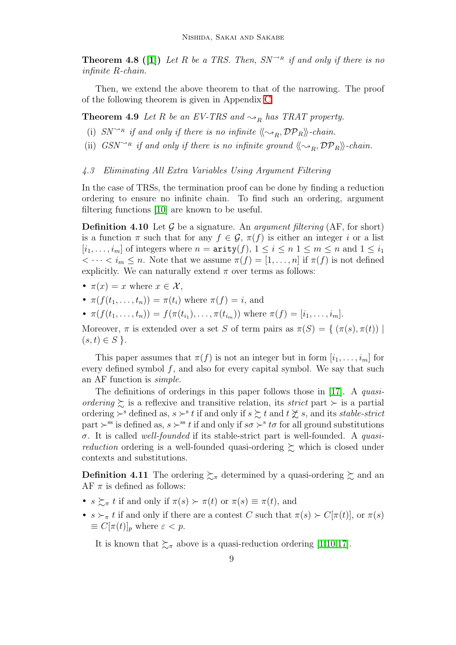**Theorem 4.8** ([\[1\]](#page-12-1)) Let R be a TRS. Then,  $SN^{\rightarrow R}$  if and only if there is no infinite R-chain.

Then, we extend the above theorem to that of the narrowing. The proof of the following theorem is given in Appendix [C.](#page-15-0)

<span id="page-8-0"></span>**Theorem 4.9** Let R be an EV-TRS and  $\sim_R$  has TRAT property.

- (i)  $SN^{\sim_R}$  if and only if there is no infinite  $\langle \langle \sim_R, \mathcal{DP}_R \rangle \rangle$ -chain.
- (ii) GSN<sup> $\sim$ R</sup> if and only if there is no infinite ground  $\langle \sim_R, \mathcal{DP}_R \rangle$ -chain.

#### 4.3 Eliminating All Extra Variables Using Argument Filtering

In the case of TRSs, the termination proof can be done by finding a reduction ordering to ensure no infinite chain. To find such an ordering, argument filtering functions [\[10\]](#page-12-5) are known to be useful.

**Definition 4.10** Let G be a signature. An *argument filtering* (AF, for short) is a function  $\pi$  such that for any  $f \in \mathcal{G}$ ,  $\pi(f)$  is either an integer i or a list  $[i_1, \ldots, i_m]$  of integers where  $n = \text{arity}(f), 1 \leq i \leq n, 1 \leq m \leq n$  and  $1 \leq i_1$  $\langle \cdots \langle i_m \rangle \leq n$ . Note that we assume  $\pi(f) = [1, \ldots, n]$  if  $\pi(f)$  is not defined explicitly. We can naturally extend  $\pi$  over terms as follows:

- $\pi(x) = x$  where  $x \in \mathcal{X}$ ,
- $\pi(f(t_1,\ldots,t_n)) = \pi(t_i)$  where  $\pi(f) = i$ , and
- $\pi(f(t_1,...,t_n)) = f(\pi(t_{i_1}),...,\pi(t_{i_m}))$  where  $\pi(f) = [i_1,...,i_m].$

Moreover,  $\pi$  is extended over a set S of term pairs as  $\pi(S) = \{ (\pi(s), \pi(t)) \mid$  $(s, t) \in S$  }.

This paper assumes that  $\pi(f)$  is not an integer but in form  $[i_1, \ldots, i_m]$  for every defined symbol  $f$ , and also for every capital symbol. We say that such an AF function is simple.

The definitions of orderings in this paper follows those in [\[17\]](#page-13-2). A *quasi*ordering  $\succeq$  is a reflexive and transitive relation, its strict part  $\succ$  is a partial ordering  $\succ^s$  defined as,  $s \succ^s t$  if and only if  $s \succsim t$  and  $t \not\succsim s$ , and its stable-strict part  $\succ$ <sup>ss</sup> is defined as,  $s \succ$ <sup>ss</sup> t if and only if  $s\sigma \succ$ <sup>s</sup> to for all ground substitutions  $\sigma$ . It is called well-founded if its stable-strict part is well-founded. A quasi*reduction* ordering is a well-founded quasi-ordering  $\gtrsim$  which is closed under contexts and substitutions.

**Definition 4.11** The ordering  $\sum_{\pi}$  determined by a quasi-ordering  $\sum$  and an AF  $\pi$  is defined as follows:

- $s \succsim_{\pi} t$  if and only if  $\pi(s) \succ \pi(t)$  or  $\pi(s) \equiv \pi(t)$ , and
- $s \succ_{\pi} t$  if and only if there are a contest C such that  $\pi(s) \succ C[\pi(t)]$ , or  $\pi(s)$  $\equiv C[\pi(t)]_p$  where  $\varepsilon < p$ .

It is known that  $\succsim_{\pi}$  above is a quasi-reduction ordering [\[1](#page-12-1)[,10](#page-12-5)[,17\]](#page-13-2).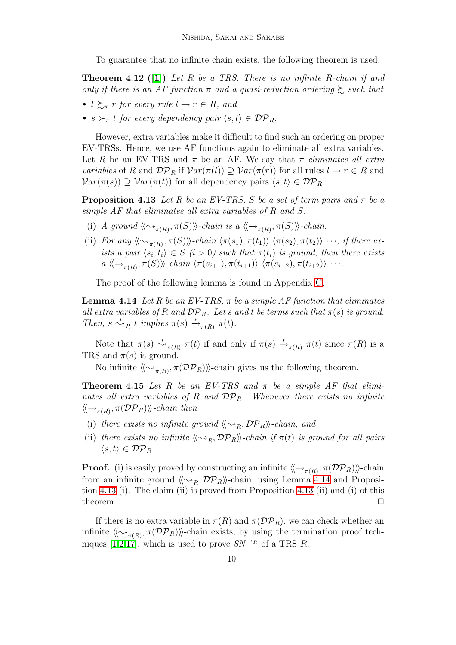To guarantee that no infinite chain exists, the following theorem is used.

<span id="page-9-2"></span>**Theorem 4.12** ([\[1\]](#page-12-1)) Let R be a TRS. There is no infinite R-chain if and only if there is an AF function  $\pi$  and a quasi-reduction ordering  $\gtrsim$  such that

- $l \succeq_{\pi} r$  for every rule  $l \to r \in R$ , and
- $s \succ_{\pi} t$  for every dependency pair  $\langle s,t \rangle \in {\cal DP}_R$ .

However, extra variables make it difficult to find such an ordering on proper EV-TRSs. Hence, we use AF functions again to eliminate all extra variables. Let R be an EV-TRS and  $\pi$  be an AF. We say that  $\pi$  eliminates all extra variables of R and  $\mathcal{DP}_R$  if  $\mathcal{V}ar(\pi(l)) \supseteq \mathcal{V}ar(\pi(r))$  for all rules  $l \to r \in R$  and  $Var(\pi(s)) \supset Var(\pi(t))$  for all dependency pairs  $\langle s,t \rangle \in \mathcal{DP}_R$ .

<span id="page-9-1"></span>**Proposition 4.13** Let R be an EV-TRS, S be a set of term pairs and  $\pi$  be a simple AF that eliminates all extra variables of R and S.

- (i) A ground  $\langle \langle \sim_{\pi(R)}, \pi(S) \rangle \rangle$ -chain is a  $\langle \langle \rightarrow_{\pi(R)}, \pi(S) \rangle \rangle$ -chain.
- (ii) For any  $\langle \langle \sim_{\pi(R)}, \pi(S) \rangle \rangle$ -chain  $\langle \pi(s_1), \pi(t_1) \rangle$   $\langle \pi(s_2), \pi(t_2) \rangle \cdots$ , if there exists a pair  $\langle s_i, t_i \rangle \in S$  (i > 0) such that  $\pi(t_i)$  is ground, then there exists  $a \langle \langle \rightarrow_{\pi(R)}, \pi(S) \rangle \rangle$ -chain  $\langle \pi(s_{i+1}), \pi(t_{i+1}) \rangle$   $\langle \pi(s_{i+2}), \pi(t_{i+2}) \rangle$  · · ·.

The proof of the following lemma is found in Appendix [C.](#page-15-0)

<span id="page-9-0"></span>**Lemma 4.14** Let R be an EV-TRS,  $\pi$  be a simple AF function that eliminates all extra variables of R and  $\mathcal{DP}_R$ . Let s and t be terms such that  $\pi(s)$  is ground. Then,  $s \stackrel{*}{\leadsto}_R t$  implies  $\pi(s) \stackrel{*}{\leadsto}_{\pi(R)} \pi(t)$ .

Note that  $\pi(s) \stackrel{*}{\leadsto}_{\pi(R)} \pi(t)$  if and only if  $\pi(s) \stackrel{*}{\leadsto}_{\pi(R)} \pi(t)$  since  $\pi(R)$  is a TRS and  $\pi(s)$  is ground.

No infinite  $\langle \langle \sim_{\pi(R)}, \pi(\mathcal{DP}_R) \rangle \rangle$ -chain gives us the following theorem.

<span id="page-9-3"></span>**Theorem 4.15** Let R be an EV-TRS and  $\pi$  be a simple AF that eliminates all extra variables of R and  $DP_R$ . Whenever there exists no infinite  $\langle\!\langle \rightarrow_{\pi(R)}, \pi({\cal DP}_R) \rangle\!\rangle$ -chain then

- (i) there exists no infinite ground  $\langle \langle \sim_R, \mathcal{DP}_R \rangle \rangle$ -chain, and
- (ii) there exists no infinite  $\langle \langle \sim_R, \mathcal{DP}_R \rangle \rangle$ -chain if  $\pi(t)$  is ground for all pairs  $\langle s,t \rangle \in {\cal DP}_R$ .

**Proof.** (i) is easily proved by constructing an infinite  $\langle \langle \rightarrow_{\pi(R)}, \pi(\mathcal{DP}_R) \rangle \rangle$ -chain from an infinite ground  $\langle \langle \sim_R, \mathcal{DP}_R \rangle \rangle$ -chain, using Lemma [4.14](#page-9-0) and Proposition [4.13](#page-9-1) (i). The claim (ii) is proved from Proposition [4.13](#page-9-1) (ii) and (i) of this theorem.  $\Box$ 

If there is no extra variable in  $\pi(R)$  and  $\pi(\mathcal{DP}_R)$ , we can check whether an infinite  $\langle\!\langle \sim_{\pi(R)}, \pi(\mathcal{DP}_R) \rangle\!\rangle$ -chain exists, by using the termination proof tech-niques [\[1](#page-12-1)[,2,](#page-12-2)[17\]](#page-13-2), which is used to prove  $SN^{\rightarrow R}$  of a TRS R.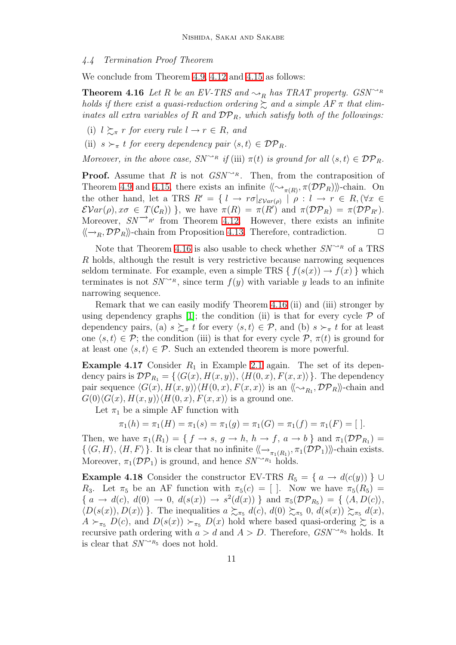#### 4.4 Termination Proof Theorem

<span id="page-10-0"></span>We conclude from Theorem [4.9,](#page-8-0) [4.12](#page-9-2) and [4.15](#page-9-3) as follows:

**Theorem 4.16** Let R be an EV-TRS and  $\sim_R$  has TRAT property. GSN<sup> $\sim_R$ </sup> holds if there exist a quasi-reduction ordering  $\gtrsim$  and a simple AF  $\pi$  that eliminates all extra variables of R and  $DP_R$ , which satisfy both of the followings:

- (i)  $l \succeq_{\pi} r$  for every rule  $l \to r \in R$ , and
- (ii)  $s \succ_{\pi} t$  for every dependency pair  $\langle s,t \rangle \in \mathcal{DP}_R$ .

Moreover, in the above case,  $SN^{\rightarrow_R}$  if (iii)  $\pi(t)$  is ground for all  $\langle s,t \rangle \in \mathcal{DP}_R$ .

**Proof.** Assume that R is not  $GSN^{\rightarrow R}$ . Then, from the contraposition of Theorem [4.9](#page-8-0) and [4.15,](#page-9-3) there exists an infinite  $\langle\langle \sim_{\pi(R)}, \pi(\mathcal{DP}_R) \rangle\rangle$ -chain. On the other hand, let a TRS  $R' = \{ l \to r \sigma |_{\mathcal{EVar}(\rho)} \mid \rho : l \to r \in R, (\forall x \in$  $\mathcal{E}Var(\rho), x\sigma \in T(\mathcal{C}_R)$  }, we have  $\pi(R) = \pi(R')$  and  $\pi(\mathcal{DP}_R) = \pi(\mathcal{DP}_{R'}).$ Moreover,  $SN \rightarrow R$ <sup>t</sup> from Theorem [4.12.](#page-9-2) However, there exists an infinite  $\langle \langle \rightarrow_R, \mathcal{DP}_R \rangle \rangle$ -chain from Proposition [4.13.](#page-9-1) Therefore, contradiction.

Note that Theorem [4.16](#page-10-0) is also usable to check whether  $SN^{\leadsto_R}$  of a TRS R holds, although the result is very restrictive because narrowing sequences seldom terminate. For example, even a simple TRS  $\{f(s(x)) \rightarrow f(x)\}\$  which terminates is not  $SN^{\leadsto R}$ , since term  $f(y)$  with variable y leads to an infinite narrowing sequence.

Remark that we can easily modify Theorem [4.16](#page-10-0) (ii) and (iii) stronger by using dependency graphs [\[1\]](#page-12-1); the condition (ii) is that for every cycle  $\mathcal P$  of dependency pairs, (a)  $s \succsim_{\pi} t$  for every  $\langle s,t \rangle \in \mathcal{P}$ , and (b)  $s \succ_{\pi} t$  for at least one  $\langle s,t\rangle \in \mathcal{P}$ ; the condition (iii) is that for every cycle  $\mathcal{P}, \pi(t)$  is ground for at least one  $\langle s,t \rangle \in \mathcal{P}$ . Such an extended theorem is more powerful.

<span id="page-10-1"></span>**Example 4.17** Consider  $R_1$  in Example [2.1](#page-2-0) again. The set of its dependency pairs is  $\mathcal{DP}_{R_1} = \{ \langle G(x), H(x, y) \rangle, \langle H(0, x), F(x, x) \rangle \}.$  The dependency pair sequence  $\langle G(x), H(x, y) \rangle \langle H(0, x), F(x, x) \rangle$  is an  $\langle \langle \sim_{R_1}, \mathcal{DP}_R \rangle \rangle$ -chain and  $G(0)\langle G(x), H(x, y)\rangle \langle H(0, x), F(x, x)\rangle$  is a ground one.

Let  $\pi_1$  be a simple AF function with

$$
\pi_1(h) = \pi_1(H) = \pi_1(s) = \pi_1(g) = \pi_1(G) = \pi_1(f) = \pi_1(F) = [
$$
 ].

Then, we have  $\pi_1(R_1) = \{ f \to s, g \to h, h \to f, a \to b \}$  and  $\pi_1(\mathcal{DP}_{R_1}) =$  $\{\langle G, H \rangle, \langle H, F \rangle\}$ . It is clear that no infinite  $\langle \langle \rightarrow_{\pi_1(R_1)}, \pi_1(\mathcal{DP}_1) \rangle \rangle$ -chain exists. Moreover,  $\pi_1(\mathcal{DP}_1)$  is ground, and hence  $SN^{\leadsto_{R_1}}$  holds.

**Example 4.18** Consider the constructor EV-TRS  $R_5 = \{a \rightarrow d(c(y))\}\cup\{c(y)\}$ R<sub>3</sub>. Let  $\pi_5$  be an AF function with  $\pi_5(c) = [$ . Now we have  $\pi_5(R_5) =$ { $a \rightarrow d(c), d(0) \rightarrow 0, d(s(x)) \rightarrow s^2(d(x))$ } and  $\pi_5(\mathcal{DP}_{R_5}) = {\langle A, D(c) \rangle}$ ,  $\langle D(s(x)), D(x)\rangle$ . The inequalities  $a \succsim_{\pi_5} d(c), d(0) \succsim_{\pi_5} 0, d(s(x)) \succsim_{\pi_5} d(x),$  $A \succ_{\pi_5} D(c)$ , and  $D(s(x)) \succ_{\pi_5} D(x)$  hold where based quasi-ordering  $\succsim$  is a recursive path ordering with  $a > d$  and  $A > D$ . Therefore,  $GSN^{\sim_{R_5}}$  holds. It is clear that  $SN^{\leadsto_{R_5}}$  does not hold.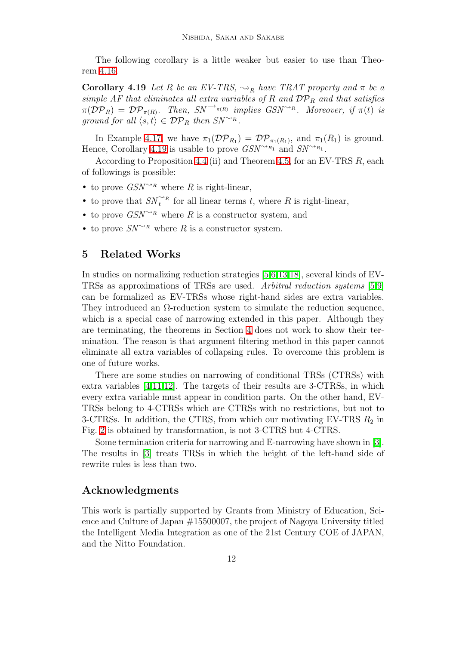The following corollary is a little weaker but easier to use than Theorem [4.16.](#page-10-0)

<span id="page-11-1"></span>**Corollary 4.19** Let R be an EV-TRS,  $\rightsquigarrow_R$  have TRAT property and  $\pi$  be a simple AF that eliminates all extra variables of R and  $DP_R$  and that satisfies  $\pi(\mathcal{DP}_R) = \mathcal{DP}_{\pi(R)}$ . Then,  $SN \to_{\pi(R)}$  implies  $GSN \to R$ . Moreover, if  $\pi(t)$  is ground for all  $\langle s,t \rangle \in \mathcal{DP}_R$  then  $SN^{\sim_R}$ .

In Example [4.17,](#page-10-1) we have  $\pi_1(\mathcal{DP}_{R_1}) = \mathcal{DP}_{\pi_1(R_1)}$ , and  $\pi_1(R_1)$  is ground. Hence, Corollary [4.19](#page-11-1) is usable to prove  $GSN^{\leadsto R_1}$  and  $SN^{\leadsto R_1}$ .

According to Proposition [4.4](#page-6-0) (ii) and Theorem [4.5,](#page-6-1) for an EV-TRS  $R$ , each of followings is possible:

- to prove  $GSN^{\leadsto_R}$  where R is right-linear,
- to prove that  $SN_t^{\rightsquigarrow_R}$  for all linear terms t, where R is right-linear,
- to prove  $GSN^{\rightarrow R}$  where R is a constructor system, and
- <span id="page-11-0"></span>• to prove  $SN^{\leadsto_R}$  where R is a constructor system.

## 5 Related Works

In studies on normalizing reduction strategies [\[5,](#page-12-6)[6,](#page-12-7)[13,](#page-12-8)[18\]](#page-13-4), several kinds of EV-TRSs as approximations of TRSs are used. Arbitral reduction systems [\[5](#page-12-6)[,9\]](#page-12-9) can be formalized as EV-TRSs whose right-hand sides are extra variables. They introduced an  $\Omega$ -reduction system to simulate the reduction sequence, which is a special case of narrowing extended in this paper. Although they are terminating, the theorems in Section [4](#page-5-0) does not work to show their termination. The reason is that argument filtering method in this paper cannot eliminate all extra variables of collapsing rules. To overcome this problem is one of future works.

There are some studies on narrowing of conditional TRSs (CTRSs) with extra variables [\[4,](#page-12-10)[11,](#page-12-11)[12\]](#page-12-12). The targets of their results are 3-CTRSs, in which every extra variable must appear in condition parts. On the other hand, EV-TRSs belong to 4-CTRSs which are CTRSs with no restrictions, but not to 3-CTRSs. In addition, the CTRS, from which our motivating EV-TRS  $R_2$  in Fig. [2](#page-4-0) is obtained by transformation, is not 3-CTRS but 4-CTRS.

Some termination criteria for narrowing and E-narrowing have shown in [\[3\]](#page-12-13). The results in [\[3\]](#page-12-13) treats TRSs in which the height of the left-hand side of rewrite rules is less than two.

## Acknowledgments

This work is partially supported by Grants from Ministry of Education, Science and Culture of Japan #15500007, the project of Nagoya University titled the Intelligent Media Integration as one of the 21st Century COE of JAPAN, and the Nitto Foundation.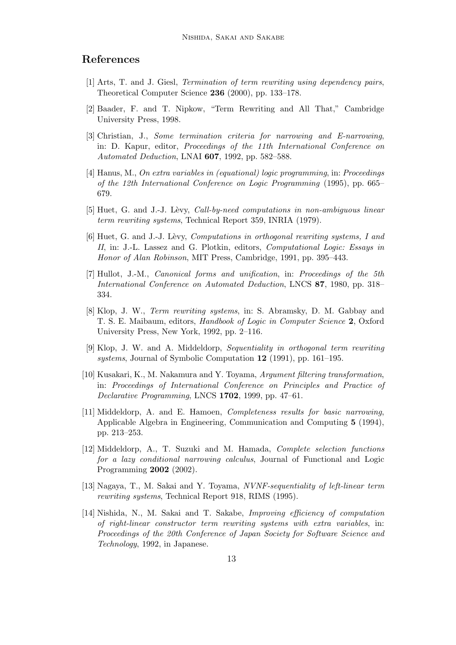## <span id="page-12-1"></span>References

- <span id="page-12-2"></span>[1] Arts, T. and J. Giesl, Termination of term rewriting using dependency pairs, Theoretical Computer Science 236 (2000), pp. 133–178.
- <span id="page-12-13"></span>[2] Baader, F. and T. Nipkow, "Term Rewriting and All That," Cambridge University Press, 1998.
- [3] Christian, J., Some termination criteria for narrowing and E-narrowing, in: D. Kapur, editor, Proceedings of the 11th International Conference on Automated Deduction, LNAI 607, 1992, pp. 582–588.
- <span id="page-12-10"></span>[4] Hanus, M., On extra variables in (equational) logic programming, in: Proceedings of the 12th International Conference on Logic Programming (1995), pp. 665– 679.
- <span id="page-12-7"></span><span id="page-12-6"></span>[5] Huet, G. and J.-J. Lèvy, Call-by-need computations in non-ambiguous linear term rewriting systems, Technical Report 359, INRIA (1979).
- [6] Huet, G. and J.-J. Lèvy, *Computations in orthogonal rewriting systems*, I and II, in: J.-L. Lassez and G. Plotkin, editors, Computational Logic: Essays in Honor of Alan Robinson, MIT Press, Cambridge, 1991, pp. 395–443.
- <span id="page-12-0"></span>[7] Hullot, J.-M., Canonical forms and unification, in: Proceedings of the 5th International Conference on Automated Deduction, LNCS 87, 1980, pp. 318– 334.
- <span id="page-12-3"></span>[8] Klop, J. W., Term rewriting systems, in: S. Abramsky, D. M. Gabbay and T. S. E. Maibaum, editors, Handbook of Logic in Computer Science 2, Oxford University Press, New York, 1992, pp. 2–116.
- <span id="page-12-9"></span>[9] Klop, J. W. and A. Middeldorp, Sequentiality in orthogonal term rewriting systems, Journal of Symbolic Computation 12 (1991), pp. 161–195.
- <span id="page-12-5"></span>[10] Kusakari, K., M. Nakamura and Y. Toyama, Argument filtering transformation, in: Proceedings of International Conference on Principles and Practice of Declarative Programming, LNCS 1702, 1999, pp. 47–61.
- <span id="page-12-11"></span>[11] Middeldorp, A. and E. Hamoen, Completeness results for basic narrowing, Applicable Algebra in Engineering, Communication and Computing 5 (1994), pp. 213–253.
- <span id="page-12-12"></span>[12] Middeldorp, A., T. Suzuki and M. Hamada, Complete selection functions for a lazy conditional narrowing calculus, Journal of Functional and Logic Programming 2002 (2002).
- <span id="page-12-8"></span>[13] Nagaya, T., M. Sakai and Y. Toyama, NVNF-sequentiality of left-linear term rewriting systems, Technical Report 918, RIMS (1995).
- <span id="page-12-4"></span>[14] Nishida, N., M. Sakai and T. Sakabe, Improving efficiency of computation of right-linear constructor term rewriting systems with extra variables, in: Proceedings of the 20th Conference of Japan Society for Software Science and Technology, 1992, in Japanese.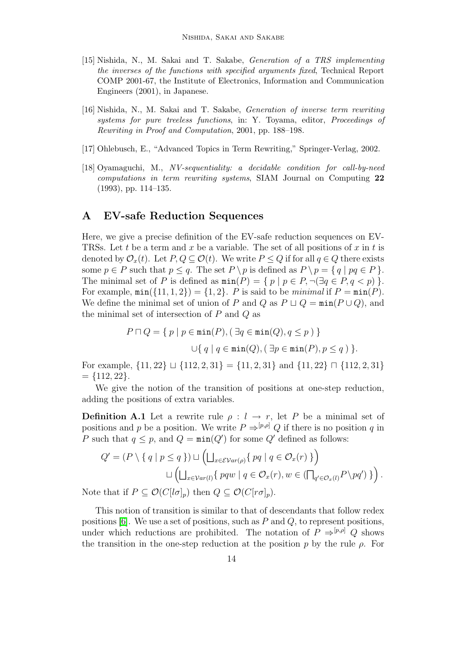- <span id="page-13-0"></span>[15] Nishida, N., M. Sakai and T. Sakabe, Generation of a TRS implementing the inverses of the functions with specified arguments fixed, Technical Report COMP 2001-67, the Institute of Electronics, Information and Communication Engineers (2001), in Japanese.
- <span id="page-13-1"></span>[16] Nishida, N., M. Sakai and T. Sakabe, Generation of inverse term rewriting systems for pure treeless functions, in: Y. Toyama, editor, Proceedings of Rewriting in Proof and Computation, 2001, pp. 188–198.
- <span id="page-13-4"></span><span id="page-13-2"></span>[17] Ohlebusch, E., "Advanced Topics in Term Rewriting," Springer-Verlag, 2002.
- [18] Oyamaguchi, M., NV-sequentiality: a decidable condition for call-by-need computations in term rewriting systems, SIAM Journal on Computing 22 (1993), pp. 114–135.

## <span id="page-13-3"></span>A EV-safe Reduction Sequences

Here, we give a precise definition of the EV-safe reduction sequences on EV-TRSs. Let t be a term and x be a variable. The set of all positions of x in t is denoted by  $\mathcal{O}_x(t)$ . Let  $P, Q \subseteq \mathcal{O}(t)$ . We write  $P \leq Q$  if for all  $q \in Q$  there exists some  $p \in P$  such that  $p \leq q$ . The set  $P \setminus p$  is defined as  $P \setminus p = \{ q \mid pq \in P \}$ . The minimal set of P is defined as  $min(P) = \{ p | p \in P, \neg (\exists q \in P, q < p) \}.$ For example,  $min({11, 1, 2}) = {1, 2}$ . P is said to be minimal if  $P = min(P)$ . We define the minimal set of union of P and Q as  $P \sqcup Q = \min(P \cup Q)$ , and the minimal set of intersection of  $P$  and  $Q$  as

$$
P \sqcap Q = \{ p \mid p \in \min(P), (\exists q \in \min(Q), q \le p) \}
$$

$$
\cup \{ q \mid q \in \min(Q), (\exists p \in \min(P), p \le q) \}.
$$

For example,  $\{11, 22\} \sqcup \{112, 2, 31\} = \{11, 2, 31\}$  and  $\{11, 22\} \sqcap \{112, 2, 31\}$  $= \{112, 22\}.$ 

We give the notion of the transition of positions at one-step reduction, adding the positions of extra variables.

**Definition A.1** Let a rewrite rule  $\rho: l \to r$ , let P be a minimal set of positions and p be a position. We write  $P \Rightarrow^{[p,\rho]} Q$  if there is no position q in P such that  $q \leq p$ , and  $Q = \min(Q')$  for some Q' defined as follows:

$$
Q' = (P \setminus \{ q \mid p \le q \}) \sqcup \left( \bigsqcup_{x \in \mathcal{E} \mathcal{V}ar(\rho)} \{ pq \mid q \in \mathcal{O}_x(r) \} \right)
$$

$$
\sqcup \left( \bigsqcup_{x \in \mathcal{V}ar(l)} \{ pqw \mid q \in \mathcal{O}_x(r), w \in (\bigcap_{q' \in \mathcal{O}_x(l)} P \setminus pq') \} \right).
$$

Note that if  $P \subseteq \mathcal{O}(C[l\sigma]_p)$  then  $Q \subseteq \mathcal{O}(C[r\sigma]_p)$ .

This notion of transition is similar to that of descendants that follow redex positions  $[6]$ . We use a set of positions, such as P and Q, to represent positions, under which reductions are prohibited. The notation of  $P \Rightarrow^{[p,\rho]} Q$  shows the transition in the one-step reduction at the position p by the rule  $\rho$ . For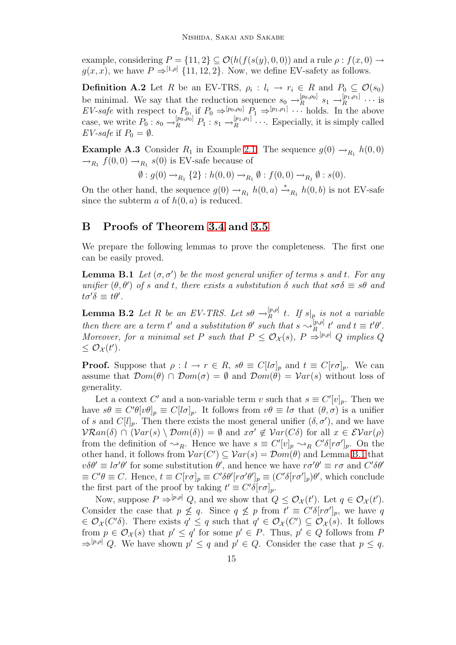example, considering  $P = \{11, 2\} \subseteq \mathcal{O}(h(f(s(y), 0, 0))$  and a rule  $\rho : f(x, 0) \to f(x, 0)$  $g(x, x)$ , we have  $P \Rightarrow^{[1,\rho]} \{11, 12, 2\}$ . Now, we define EV-safety as follows.

**Definition A.2** Let R be an EV-TRS,  $\rho_i : l_i \to r_i \in R$  and  $P_0 \subseteq \mathcal{O}(s_0)$ be minimal. We say that the reduction sequence  $s_0 \rightarrow_R^{[p_0,\rho_0]}$  $\begin{bmatrix} p_0, \rho_0 \end{bmatrix}$   $s_1 \rightarrow_R^{[p_1, \rho_1]}$  $\mathop{R}\limits^{\left[ p_1, p_1 \right]} \cdots$  is EV-safe with respect to  $P_0$ , if  $P_0 \Rightarrow^{[p_0,p_0]} P_1 \Rightarrow^{[p_1,p_1]} \cdots$  holds. In the above case, we write  $P_0: s_0 \to_R^{[p_0,\rho_0]} P_1: s_1 \to_R^{[p_1,\rho_1]}$  $R^{[p_1,p_1]}\cdots$  Especially, it is simply called EV-safe if  $P_0 = \emptyset$ .

**Example A.3** Consider  $R_1$  in Example [2.1.](#page-2-0) The sequence  $g(0) \rightarrow_{R_1} h(0,0)$  $\rightarrow_{R_1} f(0,0) \rightarrow_{R_1} s(0)$  is EV-safe because of

$$
\emptyset : g(0) \to_{R_1} \{2\} : h(0,0) \to_{R_1} \emptyset : f(0,0) \to_{R_1} \emptyset : s(0).
$$

On the other hand, the sequence  $g(0) \rightarrow_{R_1} h(0, a) \stackrel{*}{\rightarrow}_{R_1} h(0, b)$  is not EV-safe since the subterm  $a$  of  $h(0, a)$  is reduced.

## <span id="page-14-0"></span>B Proofs of Theorem [3.4](#page-5-1) and [3.5](#page-5-2)

We prepare the following lemmas to prove the completeness. The first one can be easily proved.

<span id="page-14-1"></span>**Lemma B.1** Let  $(\sigma, \sigma')$  be the most general unifier of terms s and t. For any unifier  $(\theta, \theta')$  of s and t, there exists a substitution  $\delta$  such that  $s\sigma\delta \equiv s\theta$  and  $t\sigma'\delta \equiv t\theta'.$ 

<span id="page-14-2"></span>**Lemma B.2** Let R be an EV-TRS. Let  $s\theta \rightarrow_R^{[p,\rho]}$  $R^{\left(p,\rho\right)}$  t. If  $s\vert_{p}$  is not a variable then there are a term t' and a substitution  $\theta'$  such that  $s \sim_R^{[p,\rho]}$  $\mathop{R}\limits^{[p,\rho]}$  t' and  $t\equiv t'\theta'.$ Moreover, for a minimal set P such that  $P \leq \mathcal{O}_{\mathcal{X}}(s)$ ,  $P \Rightarrow^{[p,\rho]} Q$  implies Q  $\leq \mathcal{O}_{\mathcal{X}}(t').$ 

**Proof.** Suppose that  $\rho: l \to r \in R$ ,  $s\theta \equiv C[l\sigma]_p$  and  $t \equiv C[r\sigma]_p$ . We can assume that  $\mathcal{D}om(\theta) \cap \mathcal{D}om(\sigma) = \emptyset$  and  $\mathcal{D}om(\theta) = \mathcal{V}ar(s)$  without loss of generality.

Let a context C' and a non-variable term v such that  $s \equiv C'[v]_p$ . Then we have  $s\theta \equiv C'\theta[v\theta]_p \equiv C[l\sigma]_p$ . It follows from  $v\theta \equiv l\sigma$  that  $(\theta, \sigma)$  is a unifier of s and  $C[l]_p$ . Then there exists the most general unifier  $(\delta, \sigma')$ , and we have  $VRan(\delta) \cap (Var(s) \setminus Dom(\delta)) = \emptyset$  and  $x\sigma' \notin Var(C\delta)$  for all  $x \in Evar(\rho)$ from the definition of  $\leadsto_R$ . Hence we have  $s \equiv C'[v]_p \leadsto_R C' \delta[r\sigma']_p$ . On the other hand, it follows from  $Var(C') \subseteq Var(s) = Dom(\theta)$  and Lemma [B.1](#page-14-1) that  $v\delta\theta' \equiv l\sigma'\theta'$  for some substitution  $\theta'$ , and hence we have  $r\sigma'\theta' \equiv r\sigma$  and  $C'\delta\theta'$  $\equiv C'\theta \equiv C$ . Hence,  $t \equiv C[r\sigma]_p \equiv C'\delta\theta'[r\sigma'\theta']_p \equiv (C'\delta[r\sigma']_p)\theta'$ , which conclude the first part of the proof by taking  $t' \equiv C' \delta [r \sigma]_p$ .

Now, suppose  $P \Rightarrow^{[p,\rho]} Q$ , and we show that  $Q \leq \mathcal{O}_{\mathcal{X}}(t')$ . Let  $q \in \mathcal{O}_{\mathcal{X}}(t')$ . Consider the case that  $p \not\leq q$ . Since  $q \not\leq p$  from  $t' \equiv C' \delta [r \sigma']_p$ , we have q  $\in \mathcal{O}_{\mathcal{X}}(C'\delta)$ . There exists  $q' \leq q$  such that  $q' \in \mathcal{O}_{\mathcal{X}}(C') \subseteq \mathcal{O}_{\mathcal{X}}(s)$ . It follows from  $p \in \mathcal{O}_{\mathcal{X}}(s)$  that  $p' \leq q'$  for some  $p' \in P$ . Thus,  $p' \in Q$  follows from P  $\Rightarrow^{[p,\rho]} Q$ . We have shown  $p' \leq q$  and  $p' \in Q$ . Consider the case that  $p \leq q$ .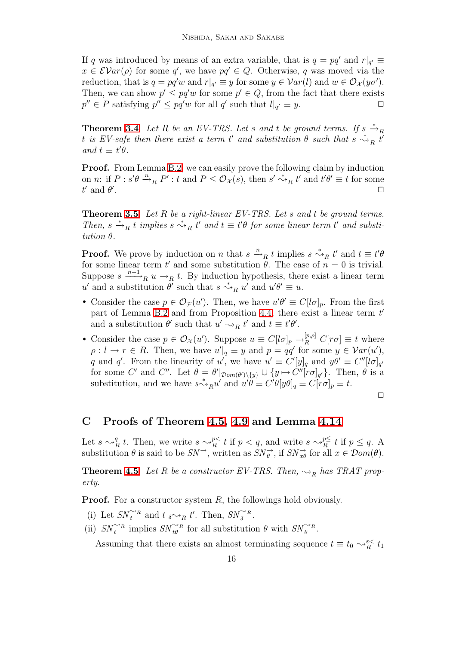If q was introduced by means of an extra variable, that is  $q = pq'$  and  $r|_{q'} \equiv$  $x \in \mathcal{E}Var(\rho)$  for some q', we have  $pq' \in Q$ . Otherwise, q was moved via the reduction, that is  $q = pq'w$  and  $r|_{q'} \equiv y$  for some  $y \in Var(l)$  and  $w \in \mathcal{O}_{\mathcal{X}}(y\sigma')$ . Then, we can show  $p' \leq pq'w$  for some  $p' \in Q$ , from the fact that there exists  $p'' \in P$  satisfying  $p'' \leq pq'w$  for all q' such that  $l|_{q'} \equiv y$ .

**Theorem [3.4](#page-5-1)** Let R be an EV-TRS. Let s and t be ground terms. If  $s \stackrel{*}{\rightarrow}_R$ t is EV-safe then there exist a term t' and substitution  $\theta$  such that  $s \stackrel{*}{\leadsto}_R t'$ and  $t \equiv t'\theta$ .

**Proof.** From Lemma [B.2,](#page-14-2) we can easily prove the following claim by induction on *n*: if  $P : s'\theta \xrightarrow{n} P' : t$  and  $P \leq \mathcal{O}_{\mathcal{X}}(s)$ , then  $s' \xrightarrow{s} R t'$  and  $t'\theta' \equiv t$  for some  $t'$  and  $\theta'$ . ✷

**Theorem [3.5](#page-5-2)** Let R be a right-linear EV-TRS. Let s and t be ground terms. Then,  $s \stackrel{*}{\rightarrow}_R t$  implies  $s \stackrel{*}{\rightarrow}_R t'$  and  $t \equiv t'\theta$  for some linear term t' and substitution θ.

**Proof.** We prove by induction on n that  $s \stackrel{n}{\rightarrow}_R t$  implies  $s \stackrel{*}{\rightarrow}_R t'$  and  $t \equiv t'\theta$ for some linear term  $t'$  and some substitution  $\theta$ . The case of  $n = 0$  is trivial. Suppose  $s \xrightarrow{n-1} u \rightarrow_R t$ . By induction hypothesis, there exist a linear term u' and a substitution  $\theta'$  such that  $s \stackrel{*}{\leadsto}_R u'$  and  $u'\theta' \equiv u$ .

- Consider the case  $p \in \mathcal{O}_{\mathcal{F}}(u')$ . Then, we have  $u'\theta' \equiv C[l\sigma]_p$ . From the first part of Lemma [B.2](#page-14-2) and from Proposition [4.4,](#page-6-0) there exist a linear term  $t'$ and a substitution  $\theta'$  such that  $u' \sim_R t'$  and  $t \equiv t'\theta'$ .
- Consider the case  $p \in \mathcal{O}_{\mathcal{X}}(u')$ . Suppose  $u \equiv C[l\sigma]_p \to_R^{[p,\rho]} C[r\sigma] \equiv t$  where  $\rho: l \to r \in R$ . Then, we have  $u'|_q \equiv y$  and  $p = qq'$  for some  $y \in Var(u')$ , q and q'. From the linearity of u', we have  $u' \equiv C'[y]_q$  and  $y\theta' \equiv C''[l\sigma]_{q'}$ for some C' and C''. Let  $\theta = \theta'|_{\mathcal{D}om(\theta')\setminus\{y\}} \cup \{y \mapsto C''[r\sigma]_{q'}\}$ . Then,  $\theta$  is a substitution, and we have  $s \stackrel{*}{\leadsto}_R u'$  and  $u'\theta \equiv C'\theta[y\theta]_q \equiv C[r\sigma]_p \equiv t$ .

 $\Box$ 

### <span id="page-15-0"></span>C Proofs of Theorem [4.5,](#page-6-1) [4.9](#page-8-0) and Lemma [4.14](#page-9-0)

Let  $s \sim_R^q t$ . Then, we write  $s \sim_R^{p<} t$  if  $p < q$ , and write  $s \sim_R^{p \leq} t$  if  $p \leq q$ . A substitution  $\theta$  is said to be  $SN^{\rightarrow}$ , written as  $SN_{\theta}^{\rightarrow}$ , if  $SN_{x\theta}^{\rightarrow}$  for all  $x \in \mathcal{D}om(\theta)$ .

**Theorem [4.5](#page-6-1)** Let R be a constructor EV-TRS. Then,  $\sim_R$  has TRAT property.

**Proof.** For a constructor system  $R$ , the followings hold obviously.

- (i) Let  $SN_t^{\rightsquigarrow_R}$  and  $t \searrow_R t'$ . Then,  $SN_{\delta}^{\rightsquigarrow_R}$ .
- (ii)  $SN_t^{\rightsquigarrow_R}$  implies  $SN_{t\theta}^{\rightsquigarrow_R}$  for all substitution  $\theta$  with  $SN_{\theta}^{\rightsquigarrow_R}$ .

Assuming that there exists an almost terminating sequence  $t \equiv t_0 \sim_{R}^{\varepsilon < t_1} t_1$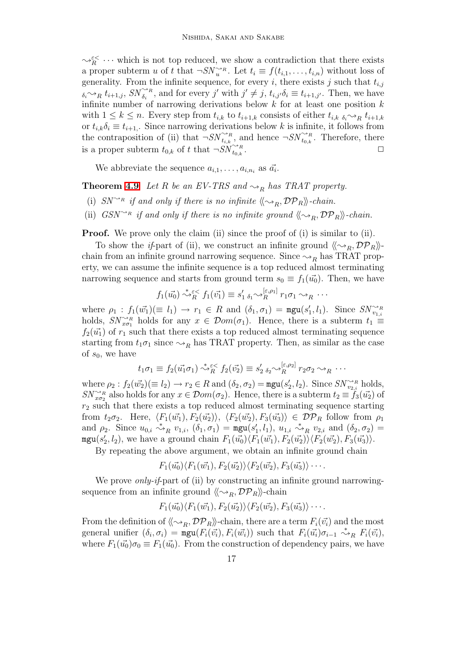$\rightsquigarrow_R^{\varepsilon\lt}$   $\cdots$  which is not top reduced, we show a contradiction that there exists a proper subterm u of t that  $\neg SN_{u}^{\sim_R}$ . Let  $t_i \equiv f(t_{i,1}, \ldots, t_{i,n})$  without loss of generality. From the infinite sequence, for every i, there exists j such that  $t_{i,j}$  $\delta_i \sim_R t_{i+1,j}$ ,  $SN \widetilde{\delta_i}^*$ , and for every j' with  $j' \neq j$ ,  $t_{i,j'}\delta_i \equiv t_{i+1,j'}$ . Then, we have infinite number of narrowing derivations below  $k$  for at least one position  $k$ with  $1 \leq k \leq n$ . Every step from  $t_{i,k}$  to  $t_{i+1,k}$  consists of either  $t_{i,k}$   $\delta_i \sim_R t_{i+1,k}$ or  $t_{i,k}\delta_i \equiv t_{i+1}$ . Since narrowing derivations below k is infinite, it follows from the contraposition of (ii) that  $\neg SN\hat{i}_{t,k}^R$ , and hence  $\neg SN\hat{i}_{t_0,k}^R$ . Therefore, there is a proper subterm  $t_{0,k}$  of t that  $\neg SN_{t_{0,k}}^{\sim_R}$ .  $\overleftrightarrow{t}_{0,k}$  .  $\qquad \qquad \Box$ 

We abbreviate the sequence  $a_{i,1}, \ldots, a_{i,n_i}$  as  $\vec{a_i}$ .

**Theorem [4.9](#page-8-0)** Let R be an EV-TRS and  $\rightsquigarrow_R$  has TRAT property.

- (i)  $SN^{\sim_R}$  if and only if there is no infinite  $\langle \langle \sim_R, \mathcal{DP}_R \rangle \rangle$ -chain.
- (ii)  $GSN^{\sim_R}$  if and only if there is no infinite ground  $\langle \langle \sim_R, \mathcal{DP}_R \rangle \rangle$ -chain.

**Proof.** We prove only the claim (ii) since the proof of (i) is similar to (ii).

To show the *if*-part of (ii), we construct an infinite ground  $\langle \langle \sim_R, \mathcal{DP}_R \rangle \rangle$ chain from an infinite ground narrowing sequence. Since  $\rightsquigarrow_R$  has TRAT property, we can assume the infinite sequence is a top reduced almost terminating narrowing sequence and starts from ground term  $s_0 \equiv f_1(\vec{u_0})$ . Then, we have

$$
f_1(\vec{u_0}) \stackrel{*}{\rightsquigarrow}{}^{\varepsilon} f_1(\vec{v_1}) \equiv s_1' \, \delta_1 \sim_R^{[\varepsilon, \rho_1]} r_1 \sigma_1 \sim_R \cdots
$$

where  $\rho_1 : f_1(\vec{w_1}) (\equiv l_1) \rightarrow r_1 \in R$  and  $(\delta_1, \sigma_1) = \text{mgu}(s'_1, l_1)$ . Since  $SN_{v_{1,i}}^{\sim_R}$ holds,  $SN_{x\sigma_1}^{\rightarrow_R}$  holds for any  $x \in Dom(\sigma_1)$ . Hence, there is a subterm  $t_1 \equiv$  $f_2(\vec{u_1})$  of  $r_1$  such that there exists a top reduced almost terminating sequence starting from  $t_1\sigma_1$  since  $\leadsto_R$  has TRAT property. Then, as similar as the case of  $s_0$ , we have

$$
t_1\sigma_1 \equiv f_2(\vec{u_1}\sigma_1) \stackrel{*}{\leadsto_R^{\varepsilon}} f_2(\vec{v_2}) \equiv s_2' \, s_2 \leadsto_R^{[\varepsilon,\rho_2]} r_2\sigma_2 \leadsto_R \cdots
$$

where  $\rho_2: f_2(\vec{w_2}) (\equiv l_2) \rightarrow r_2 \in R$  and  $(\delta_2, \sigma_2) = \text{mgu}(s'_2, l_2)$ . Since  $SN_{v_{2,i}}^{\sim_R}$  holds,  $SN_{x\sigma_2}^{\sim_R}$  also holds for any  $x \in \mathcal{D}om(\sigma_2)$ . Hence, there is a subterm  $t_2 \equiv f_3(\vec{u_2})$  of  $r_2$  such that there exists a top reduced almost terminating sequence starting from  $t_2\sigma_2$ . Here,  $\langle F_1(\vec{w_1}), F_2(\vec{u_2})\rangle$ ,  $\langle F_2(\vec{w_2}), F_3(\vec{u_3})\rangle \in \mathcal{DP}_R$  follow from  $\rho_1$ and  $\rho_2$ . Since  $u_{0,i} \stackrel{*}{\leadsto}_R v_{1,i}$ ,  $(\delta_1, \sigma_1) = \text{mgu}(s'_1, l_1)$ ,  $u_{1,i} \stackrel{*}{\leadsto}_R v_{2,i}$  and  $(\delta_2, \sigma_2) =$  $\texttt{mgu}(s'_2, l_2)$ , we have a ground chain  $F_1(\vec{u_0})\langle F_1(\vec{w_1}), F_2(\vec{u_2})\rangle\langle F_2(\vec{w_2}), F_3(\vec{u_3})\rangle$ .

By repeating the above argument, we obtain an infinite ground chain

$$
F_1(\vec{u_0}) \langle F_1(\vec{w_1}), F_2(\vec{u_2}) \rangle \langle F_2(\vec{w_2}), F_3(\vec{u_3}) \rangle \cdots
$$

We prove *only-if-part* of (ii) by constructing an infinite ground narrowingsequence from an infinite ground  $\langle \langle \sim_R, \mathcal{DP}_R \rangle \rangle$ -chain

$$
F_1(\vec{u_0})\langle F_1(\vec{w_1}), F_2(\vec{u_2})\rangle\langle F_2(\vec{w_2}), F_3(\vec{u_3})\rangle\cdots.
$$

From the definition of  $\langle \langle \sim_R, \mathcal{DP}_R \rangle$ -chain, there are a term  $F_i(\vec{v}_i)$  and the most general unifier  $(\delta_i, \sigma_i) = \max_i (F_i(\vec{v}_i), F_i(\vec{w}_i))$  such that  $F_i(\vec{u}_i)\sigma_{i-1} \stackrel{*}{\leadsto}_R F_i(\vec{v}_i)$ , where  $F_1(\vec{u_0})\sigma_0 \equiv F_1(\vec{u_0})$ . From the construction of dependency pairs, we have